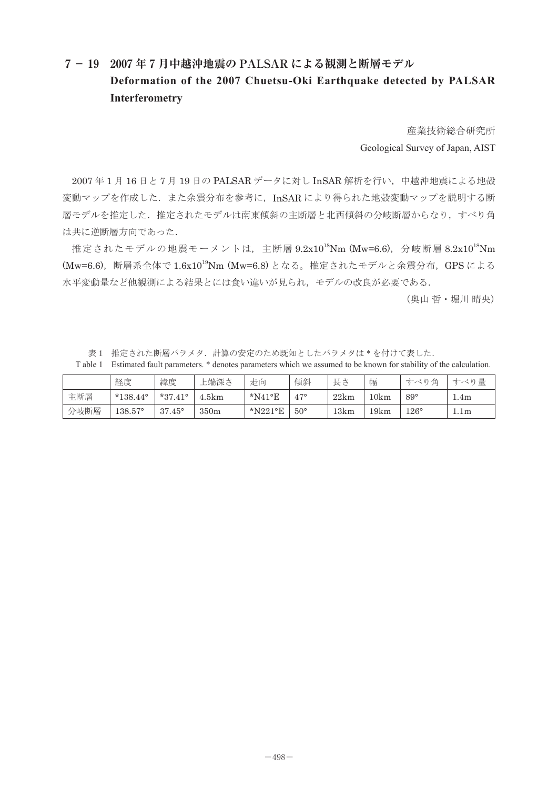## **7- 19 2007 年 7 月中越沖地震の PALSAR による観測と断層モデル Deformation of the 2007 Chuetsu-Oki Earthquake detected by PALSAR Interferometry**

産業技術総合研究所 Geological Survey of Japan, AIST

2007年1月16日と7月19日の PALSAR データに対し InSAR 解析を行い、中越沖地震による地殻 変動マップを作成した. また余震分布を参考に、InSAR により得られた地殻変動マップを説明する断 層モデルを推定した. 推定されたモデルは南東傾斜の主断層と北西傾斜の分岐断層からなり、すべり角 は共に逆断層方向であった.

推定されたモデルの地震モーメントは、主断層 9.2x10<sup>18</sup>Nm (Mw=6.6), 分岐断層 8.2x10<sup>18</sup>Nm (Mw=6.6),断層系全体で 1.6x1019Nm (Mw=6.8) となる。推定されたモデルと余震分布,GPS による 水平変動量など他観測による結果とには食い違いが見られ,モデルの改良が必要である.

(奥山 哲・堀川 晴央)

表1 推定された断層パラメタ. 計算の安定のため既知としたパラメタは\*を付けて表した.

T able 1 Estimated fault parameters. \* denotes parameters which we assumed to be known for stability of the calculation.

|      | 経度                | 緯度               | 上端深さ  | 走向         | 傾斜           | 長さ   | 幅    | 鱼<br>すべり    | すべり量 |
|------|-------------------|------------------|-------|------------|--------------|------|------|-------------|------|
| 主断層  | $*138.44^{\circ}$ | $*37.41^{\circ}$ | 1.5km | $*$ N41°E  | $47^{\circ}$ | 22km | 10km | $89^\circ$  | 4m   |
| 分岐断層 | $138.57^{\circ}$  | $37.45^{\circ}$  | 350m  | $*$ N221°E | $50^{\circ}$ | 13km | 19km | $126^\circ$ | 1.1m |